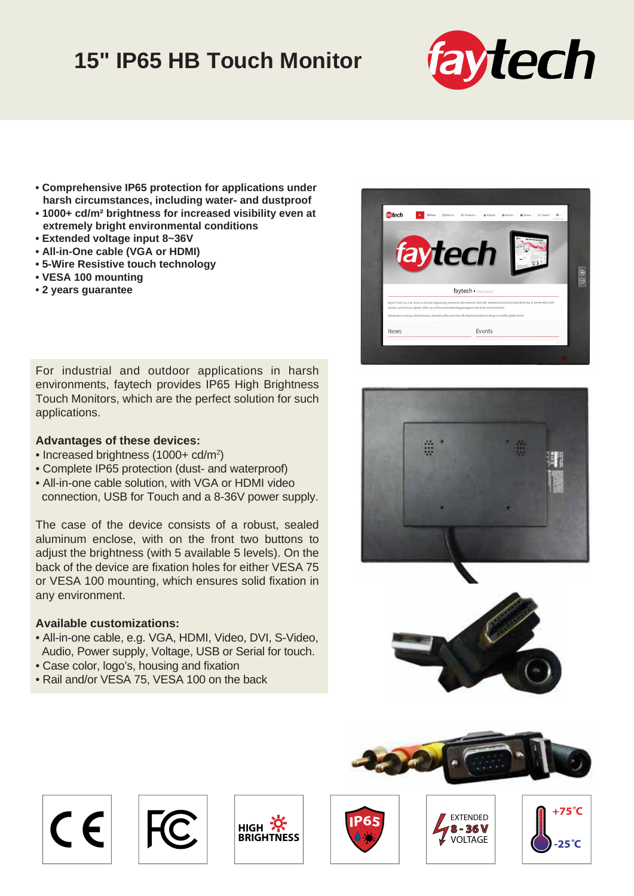## **15" IP65 HB Touch Monitor**



- **Comprehensive IP65 protection for applications under harsh circumstances, including water- and dustproof**
- **1000+ cd/m² brightness for increased visibility even at extremely bright environmental conditions**
- **Extended voltage input 8~36V**
- **All-in-One cable (VGA or HDMI)**
- **5-Wire Resistive touch technology**
- **VESA 100 mounting**
- **2 years guarantee**

For industrial and outdoor applications in harsh environments, faytech provides IP65 High Brightness Touch Monitors, which are the perfect solution for such applications.

## **Advantages of these devices:**

- Increased brightness (1000+ cd/m<sup>2</sup>)
- Complete IP65 protection (dust- and waterproof)
- All-in-one cable solution, with VGA or HDMI video connection, USB for Touch and a 8-36V power supply.

The case of the device consists of a robust, sealed aluminum enclose, with on the front two buttons to adjust the brightness (with 5 available 5 levels). On the back of the device are fixation holes for either VESA 75 or VESA 100 mounting, which ensures solid fixation in any environment.

## **Available customizations:**

- All-in-one cable, e.g. VGA, HDMI, Video, DVI, S-Video, Audio, Power supply, Voltage, USB or Serial for touch.
- Case color, logo's, housing and fixation
- Rail and/or VESA 75, VESA 100 on the back